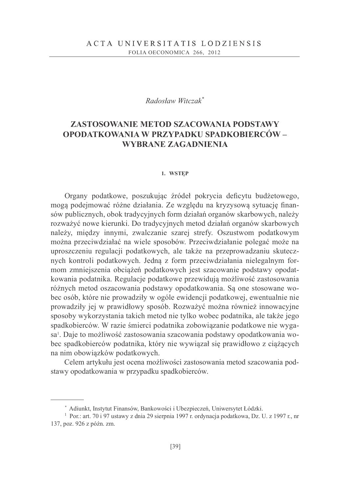### Radosław Witczak\*

# ZASTOSOWANIE METOD SZACOWANIA PODSTAWY OPODATKOWANIA W PRZYPADKU SPADKOBIERCÓW -**WYBRANE ZAGADNIENIA**

#### 1. WSTEP

Organy podatkowe, poszukując źródeł pokrycia deficytu budżetowego, moga podejmować różne działania. Ze wzgledu na kryzysowa sytuacje finansów publicznych, obok tradycyjnych form działań organów skarbowych, należy rozważyć nowe kierunki. Do tradycyjnych metod działań organów skarbowych należy, między innymi, zwalczanie szarej strefy. Oszustwom podatkowym można przeciwdziałać na wiele sposobów. Przeciwdziałanie polegać może na uproszczeniu regulacji podatkowych, ale także na przeprowadzaniu skutecznych kontroli podatkowych. Jedną z form przeciwdziałania nielegalnym formom zmniejszenia obciążeń podatkowych jest szacowanie podstawy opodatkowania podatnika. Regulacje podatkowe przewidują możliwość zastosowania różnych metod oszacowania podstawy opodatkowania. Są one stosowane wobec osób, które nie prowadziły w ogóle ewidencji podatkowej, ewentualnie nie prowadziły jej w prawidłowy sposób. Rozważyć można również innowacyjne sposoby wykorzystania takich metod nie tylko wobec podatnika, ale także jego spadkobierców. W razie śmierci podatnika zobowiązanie podatkowe nie wygasa<sup>1</sup>. Daje to możliwość zastosowania szacowania podstawy opodatkowania wobec spadkobierców podatnika, który nie wywiązał się prawidłowo z ciążących na nim obowiązków podatkowych.

Celem artykułu jest ocena możliwości zastosowania metod szacowania podstawy opodatkowania w przypadku spadkobierców.

<sup>\*</sup> Adiunkt, Instytut Finansów, Bankowości i Ubezpieczeń, Uniwersytet Łódzki.

<sup>&</sup>lt;sup>1</sup> Por.: art. 70 i 97 ustawy z dnia 29 sierpnia 1997 r. ordynacja podatkowa, Dz. U. z 1997 r., nr 137, poz. 926 z późn. zm.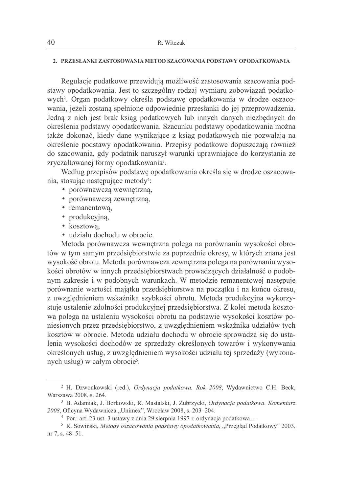#### 2. PRZESŁANKI ZASTOSOWANIA METOD SZACOWANIA PODSTAWY OPODATKOWANIA

Regulacje podatkowe przewidują możliwość zastosowania szacowania podstawy opodatkowania. Jest to szczególny rodzaj wymiaru zobowiazań podatkowych<sup>2</sup>. Organ podatkowy określa podstawę opodatkowania w drodze oszacowania, jeżeli zostaną spełnione odpowiednie przesłanki do jej przeprowadzenia. Jedna z nich jest brak ksiąg podatkowych lub innych danych niezbednych do określenia podstawy opodatkowania. Szacunku podstawy opodatkowania można także dokonać, kiedy dane wynikające z ksiąg podatkowych nie pozwalają na określenie podstawy opodatkowania. Przepisy podatkowe dopuszczają również do szacowania, gdy podatnik naruszył warunki uprawniające do korzystania ze zryczałtowanej formy opodatkowania<sup>3</sup>.

Według przepisów podstawe opodatkowania określa się w drodze oszacowania, stosując następujące metody<sup>4</sup>:

- · porównawczą wewnętrzną,
- · porównawcza zewnętrzna,
- remanentowa,
- · produkcyjna,
- kosztowa,
- · udziału dochodu w obrocie.

Metoda porównawcza wewnętrzna polega na porównaniu wysokości obrotów w tym samym przedsiębiorstwie za poprzednie okresy, w których znana jest wysokość obrotu. Metoda porównawcza zewnętrzna polega na porównaniu wysokości obrotów w innych przedsiębiorstwach prowadzących działalność o podobnym zakresie i w podobnych warunkach. W metodzie remanentowej następuje porównanie wartości majątku przedsiębiorstwa na początku i na końcu okresu, z uwzględnieniem wskaźnika szybkości obrotu. Metoda produkcyjna wykorzystuje ustalenie zdolności produkcyjnej przedsiębiorstwa. Z kolei metoda kosztowa polega na ustaleniu wysokości obrotu na podstawie wysokości kosztów poniesionych przez przedsiębiorstwo, z uwzględnieniem wskaźnika udziałów tych kosztów w obrocie. Metoda udziału dochodu w obrocie sprowadza się do ustalenia wysokości dochodów ze sprzedaży określonych towarów i wykonywania określonych usług, z uwzglednieniem wysokości udziału tej sprzedaży (wykonanych usług) w całym obrocie<sup>5</sup>.

<sup>&</sup>lt;sup>2</sup> H. Dzwonkowski (red.), Ordynacja podatkowa. Rok 2008, Wydawnictwo C.H. Beck, Warszawa 2008, s. 264.

<sup>&</sup>lt;sup>3</sup> B. Adamiak, J. Borkowski, R. Mastalski, J. Zubrzycki, Ordynacja podatkowa. Komentarz 2008, Oficyna Wydawnicza "Unimex", Wrocław 2008, s. 203-204.

<sup>&</sup>lt;sup>4</sup> Por.: art. 23 ust. 3 ustawy z dnia 29 sierpnia 1997 r. ordynacja podatkowa...

<sup>&</sup>lt;sup>5</sup> R. Sowiński, Metody oszacowania podstawy opodatkowania, "Przegląd Podatkowy" 2003, nr 7, s. 48–51.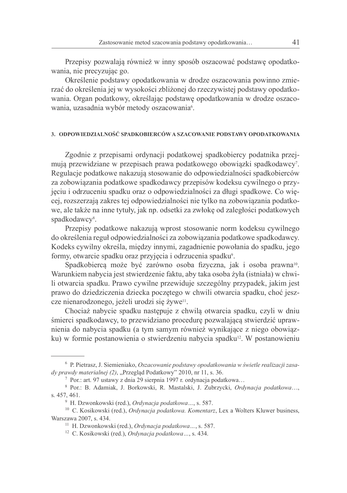Przepisy pozwalają również w inny sposób oszacować podstawę opodatkowania, nie precyzując go.

Określenie podstawy opodatkowania w drodze oszacowania powinno zmierzać do określenia jej w wysokości zbliżonej do rzeczywistej podstawy opodatkowania. Organ podatkowy, określając podstawe opodatkowania w drodze oszacowania, uzasadnia wybór metody oszacowania<sup>6</sup>.

#### 3. ODPOWIEDZIALNOŚĆ SPADKOBIERCÓW A SZACOWANIE PODSTAWY OPODATKOWANIA

Zgodnie z przepisami ordynacji podatkowej spadkobiercy podatnika przejmują przewidziane w przepisach prawa podatkowego obowiązki spadkodawcy?. Regulacie podatkowe nakazuja stosowanie do odpowiedzialności spadkobierców za zobowiązania podatkowe spadkodawcy przepisów kodeksu cywilnego o przyjęciu i odrzuceniu spadku oraz o odpowiedzialności za długi spadkowe. Co więcej, rozszerzają zakres tej odpowiedzialności nie tylko na zobowiązania podatkowe, ale także na inne tytuły, jak np. odsetki za zwłokę od zaległości podatkowych spadkodawcy<sup>8</sup>.

Przepisy podatkowe nakazują wprost stosowanie norm kodeksu cywilnego do określenia reguł odpowiedzialności za zobowiazania podatkowe spadkodawcy. Kodeks cywilny określa, między innymi, zagadnienie powołania do spadku, jego formy, otwarcie spadku oraz przyjęcia i odrzucenia spadku<sup>9</sup>.

Spadkobiercą może być zarówno osoba fizyczna, jak i osoba prawna<sup>10</sup>. Warunkiem nabycia jest stwierdzenie faktu, aby taka osoba żyła (istniała) w chwili otwarcia spadku. Prawo cywilne przewiduje szczególny przypadek, jakim jest prawo do dziedziczenia dziecka poczętego w chwili otwarcia spadku, choć jeszcze nienarodzonego, jeżeli urodzi się żywe<sup>11</sup>.

Chociaż nabycie spadku następuje z chwilą otwarcia spadku, czyli w dniu śmierci spadkodawcy, to przewidziano procedurę pozwalającą stwierdzić uprawnienia do nabycia spadku (a tym samym również wynikające z niego obowiązku) w formie postanowienia o stwierdzeniu nabycia spadku<sup>12</sup>. W postanowieniu

<sup>&</sup>lt;sup>6</sup> P. Pietrasz, J. Siemieniako, Oszacowanie podstawy opodatkowania w świetle realizacji zasady prawdy materialnej (2), "Przegląd Podatkowy" 2010, nr 11, s. 36.

<sup>&</sup>lt;sup>7</sup> Por.: art. 97 ustawy z dnia 29 sierpnia 1997 r. ordynacja podatkowa...

<sup>&</sup>lt;sup>8</sup> Por.: B. Adamiak, J. Borkowski, R. Mastalski, J. Zubrzycki, Ordynacja podatkowa.... s. 457, 461.

<sup>&</sup>lt;sup>9</sup> H. Dzwonkowski (red.), Ordynacja podatkowa..., s. 587.

<sup>&</sup>lt;sup>10</sup> C. Kosikowski (red.), Ordynacja podatkowa. Komentarz, Lex a Wolters Kluwer business, Warszawa 2007, s. 434.

<sup>&</sup>lt;sup>11</sup> H. Dzwonkowski (red.), Ordynacja podatkowa..., s. 587.

<sup>&</sup>lt;sup>12</sup> C. Kosikowski (red.), *Ordynacja podatkowa...*, s. 434.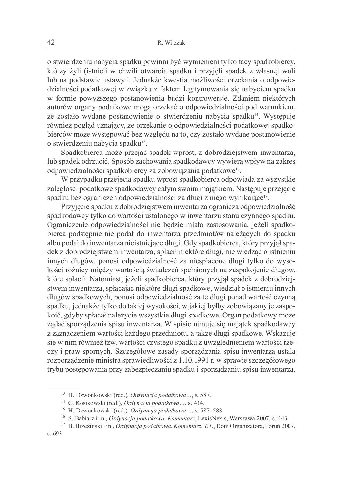o stwierdzeniu nabycia spadku powinni być wymienieni tylko tacy spadkobiercy, którzy żyli (istnieli w chwili otwarcia spadku i przyjeli spadek z własnej woli lub na podstawie ustawy<sup>13</sup>. Jednakże kwestia możliwości orzekania o odpowiedzialności podatkowej w związku z faktem legitymowania się nabyciem spadku w formie powyższego postanowienia budzi kontrowersje. Zdaniem niektórych autorów organy podatkowe mogą orzekać o odpowiedzialności pod warunkiem, że zostało wydane postanowienie o stwierdzeniu nabycia spadku<sup>14</sup>. Występuje również poglad uznający, że orzekanie o odpowiedzialności podatkowej spadkobierców może występować bez względu na to, czy zostało wydane postanowienie o stwierdzeniu nabycia spadku<sup>15</sup>.

Spadkobierca może przejąć spadek wprost, z dobrodziejstwem inwentarza, lub spadek odrzucić. Sposób zachowania spadkodawcy wywiera wpływ na zakres odpowiedzialności spadkobiercy za zobowiązania podatkowe<sup>16</sup>.

W przypadku przejęcia spadku wprost spadkobierca odpowiada za wszystkie zaległości podatkowe spadkodawcy całym swoim majątkiem. Następuje przejęcie spadku bez ograniczeń odpowiedzialności za długi z niego wynikające<sup>17</sup>.

Przyjęcie spadku z dobrodziejstwem inwentarzą ograniczą odpowiedzialność spadkodawcy tylko do wartości ustalonego w inwentarzu stanu czynnego spadku. Ograniczenie odpowiedzialności nie będzie miało zastosowania, jeżeli spadkobierca podstępnie nie podał do inwentarza przedmiotów należących do spadku albo podał do inwentarza nieistniejące długi. Gdy spadkobierca, który przyjął spadek z dobrodziejstwem inwentarza, spłacił niektóre długi, nie wiedząc o istnieniu innych długów, ponosi odpowiedzialność za niespłacone długi tylko do wysokości różnicy między wartością świadczeń spełnionych na zaspokojenie długów, które spłacił. Natomiast, jeżeli spadkobierca, który przyjął spadek z dobrodziejstwem inwentarza, spłacając niektóre długi spadkowe, wiedział o istnieniu innych długów spadkowych, ponosi odpowiedzialność za te długi ponad wartość czynną spadku, jednakże tylko do takiej wysokości, w jakiej byłby zobowiązany je zaspokoić, gdyby spłacał należycie wszystkie długi spadkowe. Organ podatkowy może żądać sporządzenia spisu inwentarza. W spisie ujmuje się majątek spadkodawcy z zaznaczeniem wartości każdego przedmiotu, a także długi spadkowe. Wskazuje się w nim również tzw. wartości czystego spadku z uwzględnieniem wartości rzeczy i praw spornych. Szczegółowe zasady sporządzania spisu inwentarza ustala rozporządzenie ministra sprawiedliwości z 1.10.1991 r. w sprawie szczegółowego trybu postępowania przy zabezpieczaniu spadku i sporządzaniu spisu inwentarza.

<sup>&</sup>lt;sup>13</sup> H. Dzwonkowski (red.), *Ordynacja podatkowa* ..., s. 587.

<sup>&</sup>lt;sup>14</sup> C. Kosikowski (red.), Ordynacja podatkowa..., s. 434.

<sup>&</sup>lt;sup>15</sup> H. Dzwonkowski (red.), Ordynacja podatkowa..., s. 587-588.

<sup>&</sup>lt;sup>16</sup> S. Babiarz i in., Ordynacja podatkowa. Komentarz, LexisNexis, Warszawa 2007, s. 443.

<sup>&</sup>lt;sup>17</sup> B. Brzeziński i in., Ordynacja podatkowa. Komentarz, T.1., Dom Organizatora, Toruń 2007,

s. 693.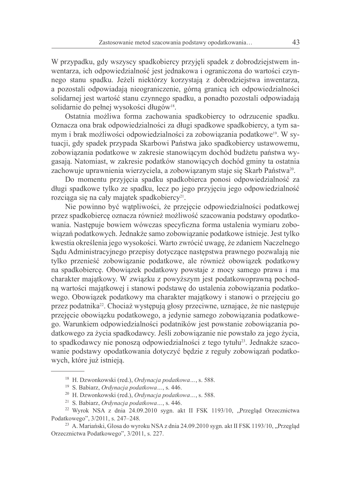W przypadku, gdy wszyscy spadkobiercy przyjęli spadek z dobrodziejstwem inwentarza, ich odpowiedzialność jest jednakowa i ograniczona do wartości czynnego stanu spadku. Jeżeli niektórzy korzystają z dobrodziejstwa inwentarza, a pozostali odpowiadają nieograniczenie, górną granicą ich odpowiedzialności solidarnej jest wartość stanu czynnego spadku, a ponadto pozostali odpowiadają solidarnie do pełnej wysokości długów<sup>18</sup>.

Ostatnia możliwa forma zachowania spadkobiercy to odrzucenie spadku. Oznacza ona brak odpowiedzialności za długi spadkowe spadkobiercy, a tym samym i brak możliwości odpowiedzialności za zobowiązania podatkowe<sup>19</sup>. W sytuacji, gdy spadek przypada Skarbowi Państwa jako spadkobiercy ustawowemu, zobowiazania podatkowe w zakresie stanowiacym dochód budżetu państwa wygasają. Natomiast, w zakresie podatków stanowiących dochód gminy ta ostatnia zachowuje uprawnienia wierzyciela, a zobowiązanym staje się Skarb Państwa<sup>20</sup>.

Do momentu przyjęcia spadku spadkobierca ponosi odpowiedzialność za długi spadkowe tylko ze spadku, lecz po jego przyjęciu jego odpowiedzialność rozciąga się na cały majątek spadkobiercy<sup>21</sup>.

Nie powinno być watpliwości, że przejęcie odpowiedzialności podatkowej przez spadkobiercę oznacza również możliwość szacowania podstawy opodatkowania. Następuje bowiem wówczas specyficzna forma ustalenia wymiaru zobowiazań podatkowych. Jednakże samo zobowiazanie podatkowe istnieje. Jest tylko kwestia określenia jego wysokości. Warto zwrócić uwagę, że zdaniem Naczelnego Sądu Administracyjnego przepisy dotyczące następstwa prawnego pozwalają nie tylko przenieść zobowiazanie podatkowe, ale również obowiazek podatkowy na spadkobierce. Obowiązek podatkowy powstaje z mocy samego prawa i ma charakter majątkowy. W związku z powyższym jest podatkowoprawną pochodną wartości majątkowej i stanowi podstawę do ustalenia zobowiązania podatkowego. Obowiązek podatkowy ma charakter majątkowy i stanowi o przejęciu go przez podatnika<sup>22</sup>. Chociaż występują głosy przeciwne, uznające, że nie następuje przejęcie obowiązku podatkowego, a jedynie samego zobowiązania podatkowego. Warunkiem odpowiedzialności podatników jest powstanie zobowiązania podatkowego za życia spadkodawcy. Jeśli zobowiązanie nie powstało za jego życia, to spadkodawcy nie ponoszą odpowiedzialności z tego tytułu<sup>23</sup>. Jednakże szacowanie podstawy opodatkowania dotyczyć będzie z reguły zobowiązań podatkowych, które już istnieją.

<sup>&</sup>lt;sup>18</sup> H. Dzwonkowski (red.), Ordynacja podatkowa..., s. 588.

<sup>&</sup>lt;sup>19</sup> S. Babiarz, *Ordynacia podatkowa* ..., s. 446.

<sup>&</sup>lt;sup>20</sup> H. Dzwonkowski (red.), *Ordynacja podatkowa...*, s. 588.

<sup>&</sup>lt;sup>21</sup> S. Babiarz, *Ordynacja podatkowa* ..., s. 446.

<sup>&</sup>lt;sup>22</sup> Wyrok NSA z dnia 24.09.2010 sygn. akt II FSK 1193/10, "Przegląd Orzecznictwa Podatkowego", 3/2011, s. 247-248.

<sup>&</sup>lt;sup>23</sup> A. Mariański, Glosa do wyroku NSA z dnia 24.09.2010 sygn. akt II FSK 1193/10, "Przegląd Orzecznictwa Podatkowego", 3/2011, s. 227.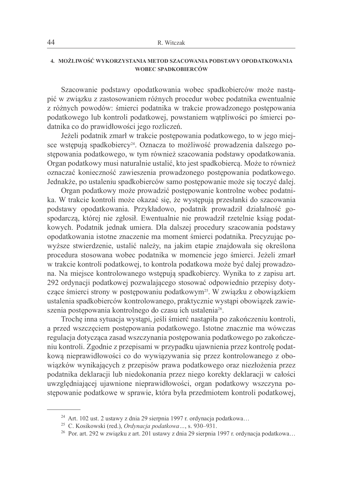### 4. MOŻLIWOŚĆ WYKORZYSTANIA METOD SZACOWANIA PODSTAWY OPODATKOWANIA **WOBEC SPADKOBIERCÓW**

Szacowanie podstawy opodatkowania wobec spadkobierców może nastapić w związku z zastosowaniem różnych procedur wobec podatnika ewentualnie z różnych powodów: śmierci podatnika w trakcie prowadzonego postepowania podatkowego lub kontroli podatkowej, powstaniem watpliwości po śmierci podatnika co do prawidłowości jego rozliczeń.

Jeżeli podatnik zmarł w trakcie postępowania podatkowego, to w jego miejsce wstępują spadkobiercy<sup>24</sup>. Oznacza to możliwość prowadzenia dalszego postepowania podatkowego, w tym również szacowania podstawy opodatkowania. Organ podatkowy musi naturalnie ustalić, kto jest spadkobiercą. Może to również oznaczać konieczność zawieszenia prowadzonego postępowania podatkowego. Jednakże, po ustaleniu spadkobierców samo postepowanie może się toczyć dalej.

Organ podatkowy może prowadzić postępowanie kontrolne wobec podatnika. W trakcie kontroli może okazać się, że występują przesłanki do szacowania podstawy opodatkowania. Przykładowo, podatnik prowadził działalność gospodarczą, której nie zgłosił. Ewentualnie nie prowadził rzetelnie ksiąg podatkowych. Podatnik jednak umiera. Dla dalszej procedury szacowania podstawy opodatkowania istotne znaczenie ma moment śmierci podatnika. Precyzując powyższe stwierdzenie, ustalić należy, na jakim etapie znajdowała się określona procedura stosowana wobec podatnika w momencie jego śmierci. Jeżeli zmarł w trakcie kontroli podatkowej, to kontrola podatkowa może być dalej prowadzona. Na miejsce kontrolowanego wstępują spadkobiercy. Wynika to z zapisu art. 292 ordynacji podatkowej pozwalającego stosować odpowiednio przepisy dotyczące śmierci strony w postępowaniu podatkowym<sup>25</sup>. W związku z obowiązkiem ustalenia spadkobierców kontrolowanego, praktycznie wystąpi obowiązek zawieszenia postępowania kontrolnego do czasu ich ustalenia<sup>26</sup>.

Trochę inna sytuacja wystąpi, jeśli śmierć nastąpiła po zakończeniu kontroli, a przed wszczęciem postępowania podatkowego. Istotne znacznie ma wówczas regulacja dotycząca zasad wszczynania postępowania podatkowego po zakończeniu kontroli. Zgodnie z przepisami w przypadku ujawnienia przez kontrolę podatkową nieprawidłowości co do wywiązywania się przez kontrolowanego z obowiązków wynikających z przepisów prawa podatkowego oraz niezłożenia przez podatnika deklaracji lub niedokonania przez niego korekty deklaracji w całości uwzględniającej ujawnione nieprawidłowości, organ podatkowy wszczyna postepowanie podatkowe w sprawie, która była przedmiotem kontroli podatkowej.

<sup>&</sup>lt;sup>24</sup> Art. 102 ust. 2 ustawy z dnia 29 sierpnia 1997 r. ordynacja podatkowa...

<sup>&</sup>lt;sup>25</sup> C. Kosikowski (red.), Ordynacja podatkowa..., s. 930–931.

<sup>&</sup>lt;sup>26</sup> Por. art. 292 w związku z art. 201 ustawy z dnia 29 sierpnia 1997 r. ordynacja podatkowa...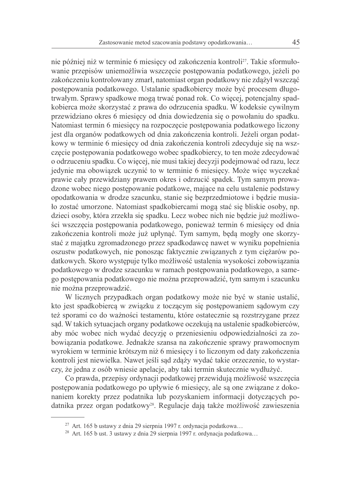nie później niż w terminie 6 miesięcy od zakończenia kontroli<sup>27</sup>. Takie sformułowanie przepisów uniemożliwia wszczecie postepowania podatkowego, jeżeli po zakończeniu kontrolowany zmarł, natomiast organ podatkowy nie zdążył wszcząć postępowania podatkowego. Ustalanie spadkobiercy może być procesem długotrwałym. Sprawy spadkowe moga trwać ponad rok. Co wiecej, potencjalny spadkobierca może skorzystać z prawa do odrzucenia spadku. W kodeksie cywilnym przewidziano okres 6 miesięcy od dnia dowiedzenia się o powołaniu do spadku. Natomiast termin 6 miesiecy na rozpoczęcie postepowania podatkowego liczony jest dla organów podatkowych od dnia zakończenia kontroli. Jeżeli organ podatkowy w terminie 6 miesięcy od dnia zakończenia kontroli zdecyduje się na wszczecie postepowania podatkowego wobec spadkobiercy, to ten może zdecydować o odrzuceniu spadku. Co więcej, nie musi takiej decyzji podejmować od razu, lecz jedynie ma obowiązek uczynić to w terminie 6 miesięcy. Może więc wyczekać prawie cały przewidziany prawem okres i odrzucić spadek. Tym samym prowadzone wobec niego postępowanie podatkowe, mające na celu ustalenie podstawy opodatkowania w drodze szacunku, stanie się bezprzedmiotowe i będzie musiało zostać umorzone. Natomiast spadkobiercami mogą stać się bliskie osoby, np. dzieci osoby, która zrzekła się spadku. Lecz wobec nich nie będzie już możliwości wszczęcia postępowania podatkowego, ponieważ termin 6 miesięcy od dnia zakończenia kontroli może już upłynać. Tym samym, będa mogły one skorzystać z majątku zgromadzonego przez spadkodawcę nawet w wyniku popełnienia oszustw podatkowych, nie ponosząc faktycznie związanych z tym ciężarów podatkowych. Skoro występuje tylko możliwość ustalenia wysokości zobowiazania podatkowego w drodze szacunku w ramach postępowania podatkowego, a samego postępowania podatkowego nie można przeprowadzić, tym samym i szacunku nie można przeprowadzić.

W licznych przypadkach organ podatkowy może nie być w stanie ustalić, kto jest spadkobierca w związku z toczącym się postępowaniem sądowym czy też sporami co do ważności testamentu, które ostatecznie sa rozstrzygane przez sad. W takich sytuacjach organy podatkowe oczekują na ustalenie spadkobierców, aby móc wobec nich wydać decyzje o przeniesieniu odpowiedzialności za zobowiazania podatkowe. Jednakże szansa na zakończenie sprawy prawomocnym wyrokiem w terminie krótszym niż 6 miesięcy i to liczonym od daty zakończenia kontroli jest niewielka. Nawet jeśli sad zdaży wydać takie orzeczenie, to wystarczy, że jedna z osób wniesie apelacje, aby taki termin skutecznie wydłużyć.

Co prawda, przepisy ordynacji podatkowej przewidują możliwość wszczęcia postępowania podatkowego po upływie 6 miesięcy, ale są one związane z dokonaniem korekty przez podatnika lub pozyskaniem informacji dotyczących podatnika przez organ podatkowy<sup>28</sup>. Regulacje dają także możliwość zawieszenia

<sup>&</sup>lt;sup>27</sup> Art. 165 b ustawy z dnia 29 sierpnia 1997 r. ordynacja podatkowa...

<sup>&</sup>lt;sup>28</sup> Art. 165 b ust. 3 ustawy z dnia 29 sierpnia 1997 r. ordynacja podatkowa...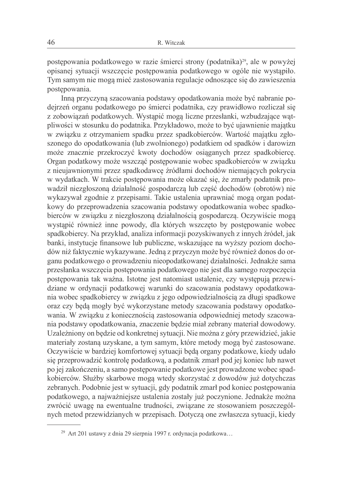postępowania podatkowego w razie śmierci strony (podatnika)<sup>29</sup>, ale w powyżej opisanej sytuacji wszczecie postepowania podatkowego w ogóle nie wystapiło. Tym samym nie mogą mieć zastosowania regulacje odnoszące się do zawieszenia postępowania.

Inna przyczyna szacowania podstawy opodatkowania może być nabranie podejrzeń organu podatkowego po śmierci podatnika, czy prawidłowo rozliczał się z zobowiązań podatkowych. Wystąpić mogą liczne przesłanki, wzbudzające wątpliwości w stosunku do podatnika. Przykładowo, może to być ujawnienie majatku w związku z otrzymaniem spadku przez spadkobierców. Wartość majątku zgłoszonego do opodatkowania (lub zwolnionego) podatkiem od spadków i darowizn może znacznie przekroczyć kwoty dochodów osiąganych przez spadkobierce. Organ podatkowy może wszcząć postępowanie wobec spadkobierców w związku z nieujawnionymi przez spadkodawcę źródłami dochodów niemających pokrycia w wydatkach. W trakcie postepowania może okazać się, że zmarły podatnik prowadził niezgłoszoną działalność gospodarczą lub część dochodów (obrotów) nie wykazywał zgodnie z przepisami. Takie ustalenia uprawniać mogą organ podatkowy do przeprowadzenia szacowania podstawy opodatkowania wobec spadkobierców w związku z niezgłoszoną działalnością gospodarczą. Oczywiście mogą wystąpić również inne powody, dla których wszczęto by postępowanie wobec spadkobiercy. Na przykład, analiza informacji pozyskiwanych z innych źródeł, jak banki, instytucje finansowe lub publiczne, wskazujące na wyższy poziom dochodów niż faktycznie wykazywane. Jedną z przyczyn może być również donos do organu podatkowego o prowadzeniu nieopodatkowanej działalności. Jednakże sama przesłanka wszczęcia postępowania podatkowego nie jest dla samego rozpoczęcia postępowania tak ważna. Istotne jest natomiast ustalenie, czy występują przewidziane w ordynacji podatkowej warunki do szacowania podstawy opodatkowania wobec spadkobiercy w związku z jego odpowiedzialnością za długi spadkowe oraz czy będą mogły być wykorzystane metody szacowania podstawy opodatkowania. W związku z koniecznością zastosowania odpowiedniej metody szacowania podstawy opodatkowania, znaczenie będzie miał zebrany materiał dowodowy. Uzależniony on będzie od konkretnej sytuacji. Nie można z góry przewidzieć, jakie materiały zostaną uzyskane, a tym samym, które metody mogą być zastosowane. Oczywiście w bardziej komfortowej sytuacji będą organy podatkowe, kiedy udało się przeprowadzić kontrolę podatkową, a podatnik zmarł pod jej koniec lub nawet po jej zakończeniu, a samo postępowanie podatkowe jest prowadzone wobec spadkobierców. Służby skarbowe mogą wtedy skorzystać z dowodów już dotychczas zebranych. Podobnie jest w sytuacji, gdy podatnik zmarł pod koniec postępowania podatkowego, a najważniejsze ustalenia zostały już poczynione. Jednakże można zwrócić uwagę na ewentualne trudności, związane ze stosowaniem poszczególnych metod przewidzianych w przepisach. Dotyczą one zwłaszcza sytuacji, kiedy

<sup>&</sup>lt;sup>29</sup> Art 201 ustawy z dnia 29 sierpnia 1997 r. ordynacja podatkowa...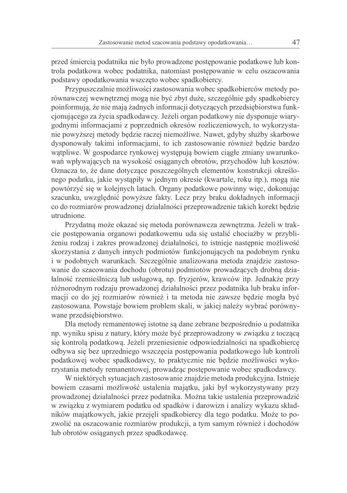przed śmiercią podatnika nie było prowadzone postępowanie podatkowe lub kontrola podatkowa wobec podatnika, natomiast postepowanie w celu oszacowania podstawy opodatkowania wszczęto wobec spadkobiercy.

Przypuszczalnie możliwości zastosowania wobec spadkobierców metody porównawczej wewnetrznej mogą nie być zbyt duże, szczególnie gdy spadkobiercy poinformują, że nie mają żadnych informacji dotyczących przedsiębiorstwa funkcjonującego za życia spadkodawcy. Jeżeli organ podatkowy nie dysponuje wiarygodnymi informacjami z poprzednich okresów rozliczeniowych, to wykorzystanie powyższej metody będzie raczej niemożliwe. Nawet, gdyby służby skarbowe dysponowały takimi informacjami, to ich zastosowanie również będzie bardzo watpliwe. W gospodarce rynkowej występują bowiem ciągłe zmiany uwarunkowań wpływających na wysokość osiąganych obrotów, przychodów lub kosztów. Oznacza to, że dane dotyczące poszczególnych elementów konstrukcji określonego podatku, jakie wystapiły w jednym okresie (kwartale, roku itp.), moga nie powtórzyć się w kolejnych latach. Organy podatkowe powinny więc, dokonując szacunku, uwzględnić powyższe fakty. Lecz przy braku dokładnych informacji co do rozmiarów prowadzonej działalności przeprowadzenie takich korekt bedzie utrudnione

Przydatną może okazać się metoda porównawcza zewnętrzna. Jeżeli w trakcie postepowania organowi podatkowemu uda się ustalić chociażby w przybliżeniu rodzaj i zakres prowadzonej działalności, to istnieje następnie możliwość skorzystania z danych innych podmiotów funkcjonujących na podobnym rynku i w podobnych warunkach. Szczególnie analizowana metoda znajdzie zastosowanie do szacowania dochodu (obrotu) podmiotów prowadzących drobną działalność rzemieślniczą lub usługową, np. fryzjerów, krawców itp. Jednakże przy różnorodnym rodzaju prowadzonej działalności przez podatnika lub braku informacji co do jej rozmiarów również i ta metoda nie zawsze będzie mogła być zastosowana. Powstaje bowiem problem skali, w jakiej należy wybrać porównywane przedsiębiorstwo.

Dla metody remanentowej istotne są dane zebrane bezpośrednio u podatnika np. wyniku spisu z natury, który może być przeprowadzony w związku z toczącą się kontrolą podatkową. Jeżeli przeniesienie odpowiedzialności na spadkobiercę odbywa się bez uprzedniego wszczęcia postępowania podatkowego lub kontroli podatkowej wobec spadkodawcy, to praktycznie nie będzie możliwości wykorzystania metody remanentowej, prowadząc postępowanie wobec spadkodawcy.

W niektórych sytuacjach zastosowanie znajdzie metoda produkcyjna. Istnieje bowiem czasami możliwość ustalenia majątku, jaki był wykorzystywany przy prowadzonej działalności przez podatnika. Można takie ustalenia przeprowadzić w związku z wymiarem podatku od spadków i darowizn i analizy wykazu składników majątkowych, jakie przejęli spadkobiercy dla tego podatku. Może to pozwolić na oszacowanie rozmiarów produkcji, a tym samym również i dochodów lub obrotów osiąganych przez spadkodawcę.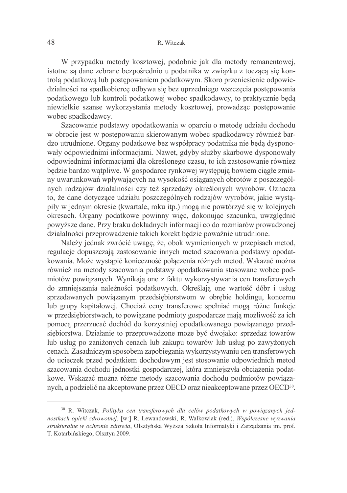W przypadku metody kosztowej, podobnie jak dla metody remanentowej, istotne sa dane zebrane bezpośrednio u podatnika w związku z tocząca się kontrolą podatkową lub postępowaniem podatkowym. Skoro przeniesienie odpowiedzialności na spadkobierce odbywa się bez uprzedniego wszczęcia postępowania podatkowego lub kontroli podatkowej wobec spadkodawcy, to praktycznie beda niewielkie szanse wykorzystania metody kosztowej, prowadząc postępowanie wobec spadkodawcy.

Szacowanie podstawy opodatkowania w oparciu o metode udziału dochodu w obrocie jest w postępowaniu skierowanym wobec spadkodawcy również bardzo utrudnione. Organy podatkowe bez współpracy podatnika nie będą dysponowały odpowiednimi informacjami. Nawet, gdyby służby skarbowe dysponowały odpowiednimi informacjami dla określonego czasu, to ich zastosowanie również będzie bardzo wątpliwe. W gospodarce rynkowej występują bowiem ciągłe zmiany uwarunkowań wpływających na wysokość osiąganych obrotów z poszczególnych rodzajów działalności czy też sprzedaży określonych wyrobów. Oznacza to, że dane dotyczące udziału poszczególnych rodzajów wyrobów, jakie wystąpiły w jednym okresie (kwartale, roku itp.) moga nie powtórzyć się w kolejnych okresach. Organy podatkowe powinny więc, dokonując szacunku, uwzględnić powyższe dane. Przy braku dokładnych informacji co do rozmiarów prowadzonej działalności przeprowadzenie takich korekt będzie poważnie utrudnione.

Należy jednak zwrócić uwagę, że, obok wymienionych w przepisach metod, regulacje dopuszczają zastosowanie innych metod szacowania podstawy opodatkowania. Może wystapić konieczność połaczenia różnych metod. Wskazać można również na metody szacowania podstawy opodatkowania stosowane wobec podmiotów powiązanych. Wynikają one z faktu wykorzystywania cen transferowych do zmniejszania należności podatkowych. Określają one wartość dóbr i usług sprzedawanych powiązanym przedsiębiorstwom w obrębie holdingu, koncernu lub grupy kapitałowej. Chociaż ceny transferowe spełniać mogą różne funkcje w przedsiębiorstwach, to powiązane podmioty gospodarcze mają możliwość za ich pomocą przerzucać dochód do korzystniej opodatkowanego powiązanego przedsiębiorstwa. Działanie to przeprowadzone może być dwojako: sprzedaż towarów lub usług po zaniżonych cenach lub zakupu towarów lub usług po zawyżonych cenach. Zasadniczym sposobem zapobiegania wykorzystywaniu cen transferowych do ucieczek przed podatkiem dochodowym jest stosowanie odpowiednich metod szacowania dochodu jednostki gospodarczej, która zmniejszyła obciążenia podatkowe. Wskazać można różne metody szacowania dochodu podmiotów powiązanych, a podzielić na akceptowane przez OECD oraz nieakceptowane przez OECD<sup>30</sup>.

<sup>&</sup>lt;sup>30</sup> R. Witczak, Polityka cen transferowych dla celów podatkowych w powiązanych jednostkach opieki zdrowotnej, [w:] R. Lewandowski, R. Walkowiak (red.), Współczesne wyzwania strukturalne w ochronie zdrowia, Olsztyńska Wyższa Szkoła Informatyki i Zarządzania im. prof. T. Kotarbińskiego, Olsztyn 2009.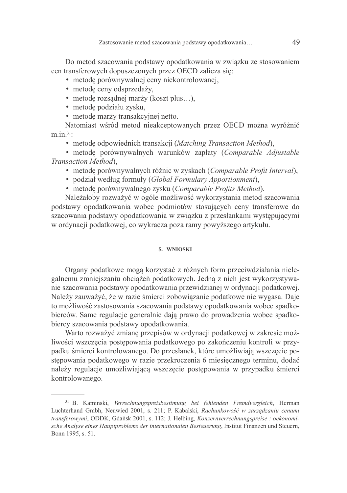Do metod szacowania podstawy opodatkowania w związku ze stosowaniem cen transferowych dopuszczonych przez OECD zalicza się:

- · metodę porównywalnej ceny niekontrolowanej,
- · metode ceny odsprzedaży,
- metode rozsadnej marży (koszt plus...).
- · metodę podziału zysku,
- · metodę marży transakcyjnej netto.

Natomiast wśród metod nieakceptowanych przez OECD można wyróżnić  $m.in.31$ :

• metode odpowiednich transakcji (Matching Transaction Method),

· metode porównywalnych warunków zapłaty (Comparable Adjustable Transaction Method).

- · metodę porównywalnych różnic w zyskach (Comparable Profit Interval),
- · podział według formuły (Global Formulary Apportionment),
- metodę porównywalnego zysku (Comparable Profits Method).

Należałoby rozważyć w ogóle możliwość wykorzystania metod szacowania podstawy opodatkowania wobec podmiotów stosujących ceny transferowe do szacowania podstawy opodatkowania w związku z przesłankami występującymi w ordynacji podatkowej, co wykracza poza ramy powyższego artykułu.

#### 5. WNIOSKI

Organy podatkowe mogą korzystać z różnych form przeciwdziałania nielegalnemu zmniejszaniu obciążeń podatkowych. Jedną z nich jest wykorzystywanie szacowania podstawy opodatkowania przewidzianej w ordynacji podatkowej. Należy zauważyć, że w razie śmierci zobowiązanie podatkowe nie wygasa. Daje to możliwość zastosowania szacowania podstawy opodatkowania wobec spadkobierców. Same regulacje generalnie dają prawo do prowadzenia wobec spadkobiercy szacowania podstawy opodatkowania.

Warto rozważyć zmianę przepisów w ordynacji podatkowej w zakresie możliwości wszczęcia postępowania podatkowego po zakończeniu kontroli w przypadku śmierci kontrolowanego. Do przesłanek, które umożliwiają wszczęcie postępowania podatkowego w razie przekroczenia 6 miesięcznego terminu, dodać należy regulacje umożliwiającą wszczęcie postępowania w przypadku śmierci kontrolowanego.

<sup>&</sup>lt;sup>31</sup> B. Kaminski, Verrechnungspreisbestimung bei fehlenden Fremdvergleich, Herman Luchterhand Gmbh, Neuwied 2001, s. 211; P. Kabalski, Rachunkowość w zarządzaniu cenami transferowymi, ODDK, Gdańsk 2001, s. 112; J. Helbing, Konzernverrechnungspreise : oekonomische Analyse eines Hauptproblems der internationalen Besteuerung, Institut Finanzen und Steuern, Bonn 1995, s. 51.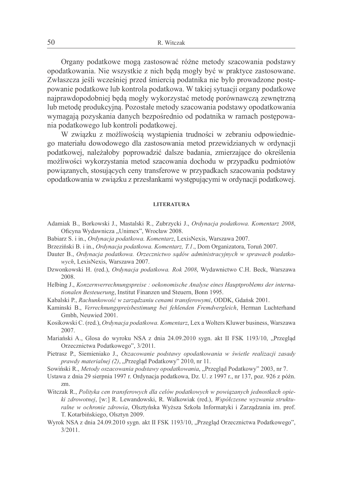Organy podatkowe mogą zastosować różne metody szacowania podstawy opodatkowania. Nie wszystkie z nich beda mogły być w praktyce zastosowane. Zwłaszcza jeśli wcześniej przed śmiercią podatnika nie było prowadzone postępowanie podatkowe lub kontrola podatkowa. W takiej sytuacji organy podatkowe najprawdopodobniej beda mogły wykorzystać metode porównawcza zewnetrzna lub metode produkcyjna. Pozostałe metody szacowania podstawy opodatkowania wymagają pozyskania danych bezpośrednio od podatnika w ramach postępowania podatkowego lub kontroli podatkowej.

W związku z możliwością wystąpienia trudności w zebraniu odpowiedniego materiału dowodowego dla zastosowania metod przewidzianych w ordynacji podatkowej, należałoby poprowadzić dalsze badania, zmierzające do określenia możliwości wykorzystania metod szacowania dochodu w przypadku podmiotów powiazanych, stosujących ceny transferowe w przypadkach szacowania podstawy opodatkowania w zwiazku z przesłankami wystepującymi w ordynacji podatkowej.

#### **LITERATIIRA**

- Adamiak B., Borkowski J., Mastalski R., Zubrzycki J., Ordynacja podatkowa. Komentarz 2008, Oficyna Wydawnicza "Unimex", Wrocław 2008.
- Babiarz S. i in., Ordynacja podatkowa. Komentarz, LexisNexis, Warszawa 2007.
- Brzeziński B. i in., Ordynacja podatkowa. Komentarz, T.1., Dom Organizatora, Toruń 2007.
- Dauter B., Ordynacja podatkowa. Orzecznictwo sądów administracyjnych w sprawach podatkowych, LexisNexis, Warszawa 2007.
- Dzwonkowski H. (red.), Ordynacja podatkowa. Rok 2008, Wydawnictwo C.H. Beck, Warszawa 2008.
- Helbing J., Konzernverrechnungspreise : oekonomische Analyse eines Hauptproblems der internationalen Besteuerung, Institut Finanzen und Steuern, Bonn 1995.
- Kabalski P., Rachunkowość w zarządzaniu cenami transferowymi, ODDK, Gdańsk 2001.
- Kaminski B., Verrechnungspreisbestimung bei fehlenden Fremdvergleich, Herman Luchterhand Gmbh, Neuwied 2001.
- Kosikowski C. (red.), Ordynacja podatkowa. Komentarz, Lex a Wolters Kluwer business, Warszawa 2007.
- Mariański A., Glosa do wyroku NSA z dnia 24.09.2010 sygn. akt II FSK 1193/10, "Przegląd Orzecznictwa Podatkowego", 3/2011.
- Pietrasz P., Siemieniako J., Oszacowanie podstawy opodatkowania w świetle realizacji zasady *prawdy materialnej (2)*, "Przegląd Podatkowy" 2010, nr 11.
- Sowiński R., Metody oszacowania podstawy opodatkowania, "Przegląd Podatkowy" 2003, nr 7.
- Ustawa z dnia 29 sierpnia 1997 r. Ordynacja podatkowa, Dz. U. z 1997 r., nr 137, poz. 926 z późn. zm.
- Witczak R., Polityka cen transferowych dla celów podatkowych w powiązanych jednostkach opieki zdrowotnej, [w:] R. Lewandowski, R. Walkowiak (red.), Współczesne wyzwania strukturalne w ochronie zdrowia. Olsztyńska Wyższa Szkoła Informatyki i Zarządzania im. prof. T. Kotarbińskiego, Olsztyn 2009.
- Wyrok NSA z dnia 24.09.2010 sygn. akt II FSK 1193/10, "Przeglad Orzecznictwa Podatkowego".  $3/2011$ .